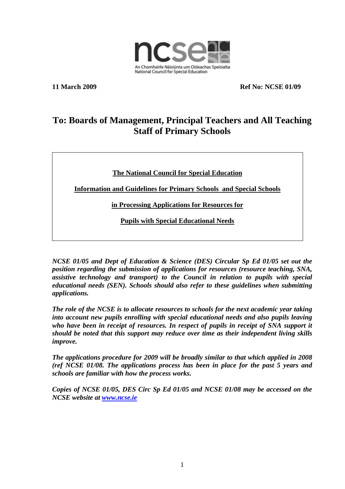

**11 March 2009 Ref No: NCSE 01/09** 

## **To: Boards of Management, Principal Teachers and All Teaching Staff of Primary Schools**

**The National Council for Special Education**

**Information and Guidelines for Primary Schools and Special Schools** 

**in Processing Applications for Resources for**

**Pupils with Special Educational Needs**

*NCSE 01/05 and Dept of Education & Science (DES) Circular Sp Ed 01/05 set out the position regarding the submission of applications for resources (resource teaching, SNA, assistive technology and transport) to the Council in relation to pupils with special educational needs (SEN). Schools should also refer to these guidelines when submitting applications.* 

*The role of the NCSE is to allocate resources to schools for the next academic year taking into account new pupils enrolling with special educational needs and also pupils leaving who have been in receipt of resources. In respect of pupils in receipt of SNA support it should be noted that this support may reduce over time as their independent living skills improve.* 

*The applications procedure for 2009 will be broadly similar to that which applied in 2008 (ref NCSE 01/08. The applications process has been in place for the past 5 years and schools are familiar with how the process works.* 

*Copies of NCSE 01/05, DES Circ Sp Ed 01/05 and NCSE 01/08 may be accessed on the NCSE website at [www.ncse.ie](http://www.ncse.ie/)*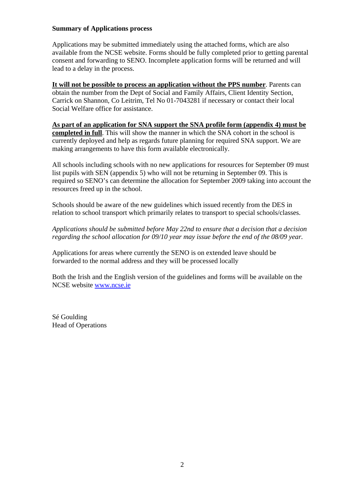### **Summary of Applications process**

Applications may be submitted immediately using the attached forms, which are also available from the NCSE website. Forms should be fully completed prior to getting parental consent and forwarding to SENO. Incomplete application forms will be returned and will lead to a delay in the process.

**It will not be possible to process an application without the PPS number**. Parents can obtain the number from the Dept of Social and Family Affairs, Client Identity Section, Carrick on Shannon, Co Leitrim, Tel No 01-7043281 if necessary or contact their local Social Welfare office for assistance.

**As part of an application for SNA support the SNA profile form (appendix 4) must be completed in full**. This will show the manner in which the SNA cohort in the school is currently deployed and help as regards future planning for required SNA support. We are making arrangements to have this form available electronically.

All schools including schools with no new applications for resources for September 09 must list pupils with SEN (appendix 5) who will not be returning in September 09. This is required so SENO's can determine the allocation for September 2009 taking into account the resources freed up in the school.

Schools should be aware of the new guidelines which issued recently from the DES in relation to school transport which primarily relates to transport to special schools/classes.

*Applications should be submitted before May 22nd to ensure that a decision that a decision regarding the school allocation for 09/10 year may issue before the end of the 08/09 year.* 

Applications for areas where currently the SENO is on extended leave should be forwarded to the normal address and they will be processed locally

Both the Irish and the English version of the guidelines and forms will be available on the NCSE website [www.ncse.ie](http://www.ncse.ie/)

Sé Goulding Head of Operations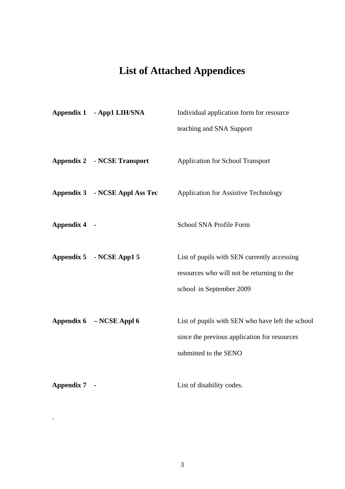# **List of Attached Appendices**

|              | Appendix 1 - App1 LIH/SNA             | Individual application form for resource<br>teaching and SNA Support                                                      |
|--------------|---------------------------------------|---------------------------------------------------------------------------------------------------------------------------|
|              | <b>Appendix 2 - NCSE Transport</b>    | Application for School Transport                                                                                          |
|              | <b>Appendix 3 - NCSE Appl Ass Tec</b> | Application for Assistive Technology                                                                                      |
| Appendix 4 - |                                       | School SNA Profile Form                                                                                                   |
|              | Appendix 5 - NCSE App1 5              | List of pupils with SEN currently accessing<br>resources who will not be returning to the<br>school in September 2009     |
|              | Appendix 6 – NCSE Appl 6              | List of pupils with SEN who have left the school<br>since the previous application for resources<br>submitted to the SENO |
| Appendix 7 - |                                       | List of disability codes.                                                                                                 |

.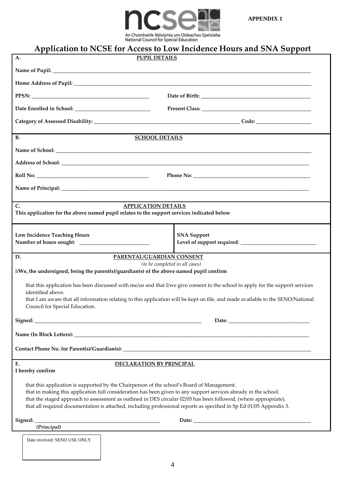



|                                                                                            | Nauvillal Couricil for Special Education<br>Application to NCSE for Access to Low Incidence Hours and SNA Support                                                                                                                    |
|--------------------------------------------------------------------------------------------|--------------------------------------------------------------------------------------------------------------------------------------------------------------------------------------------------------------------------------------|
| A.                                                                                         | <b>PUPIL DETAILS</b>                                                                                                                                                                                                                 |
|                                                                                            |                                                                                                                                                                                                                                      |
|                                                                                            |                                                                                                                                                                                                                                      |
|                                                                                            |                                                                                                                                                                                                                                      |
|                                                                                            |                                                                                                                                                                                                                                      |
|                                                                                            |                                                                                                                                                                                                                                      |
| <b>B.</b>                                                                                  | <b>SCHOOL DETAILS</b>                                                                                                                                                                                                                |
|                                                                                            |                                                                                                                                                                                                                                      |
|                                                                                            |                                                                                                                                                                                                                                      |
|                                                                                            |                                                                                                                                                                                                                                      |
|                                                                                            |                                                                                                                                                                                                                                      |
| $\mathsf{C}$ .                                                                             | <b>APPLICATION DETAILS</b>                                                                                                                                                                                                           |
| This application for the above named pupil relates to the support services indicated below |                                                                                                                                                                                                                                      |
| <b>Low Incidence Teaching Hours</b>                                                        | <b>SNA Support</b>                                                                                                                                                                                                                   |
|                                                                                            |                                                                                                                                                                                                                                      |
| D.                                                                                         | PARENTAL/GUARDIAN CONSENT                                                                                                                                                                                                            |
| I/We, the undersigned, being the parent(s)/guardian(s) of the above named pupil confirm    | (to be completed in all cases)                                                                                                                                                                                                       |
|                                                                                            | that this application has been discussed with me/us and that I/we give consent to the school to apply for the support services                                                                                                       |
| identified above.                                                                          | that I am aware that all information relating to this application will be kept on file, and made available to the SENO/National                                                                                                      |
| Council for Special Education.                                                             |                                                                                                                                                                                                                                      |
|                                                                                            |                                                                                                                                                                                                                                      |
|                                                                                            |                                                                                                                                                                                                                                      |
|                                                                                            |                                                                                                                                                                                                                                      |
| E.                                                                                         | DECLARATION BY PRINCIPAL                                                                                                                                                                                                             |
| I hereby confirm                                                                           |                                                                                                                                                                                                                                      |
| that this application is supported by the Chairperson of the school's Board of Management. |                                                                                                                                                                                                                                      |
|                                                                                            | that in making this application full consideration has been given to any support services already in the school.<br>that the staged approach to assessment as outlined in DES circular 02/05 has been followed, (where appropriate). |
|                                                                                            | that all required documentation is attached, including professional reports as specified in Sp Ed 01/05 Appendix 3.                                                                                                                  |
|                                                                                            |                                                                                                                                                                                                                                      |
| (Principal)                                                                                |                                                                                                                                                                                                                                      |
| Date received: SENO USE ONLY                                                               |                                                                                                                                                                                                                                      |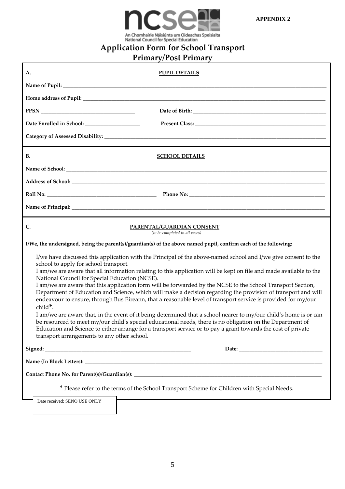

**Application Form for School Transport**

# **Primary/Post Primary**

| А.        |                                                                                                                                                   | <b>PUPIL DETAILS</b>                                                                                                                                                                                                                                                                                                                                                                                                                                                                                                                                                                                                                                                                                                                                                                                                                                                                                                                      |
|-----------|---------------------------------------------------------------------------------------------------------------------------------------------------|-------------------------------------------------------------------------------------------------------------------------------------------------------------------------------------------------------------------------------------------------------------------------------------------------------------------------------------------------------------------------------------------------------------------------------------------------------------------------------------------------------------------------------------------------------------------------------------------------------------------------------------------------------------------------------------------------------------------------------------------------------------------------------------------------------------------------------------------------------------------------------------------------------------------------------------------|
|           |                                                                                                                                                   |                                                                                                                                                                                                                                                                                                                                                                                                                                                                                                                                                                                                                                                                                                                                                                                                                                                                                                                                           |
|           |                                                                                                                                                   |                                                                                                                                                                                                                                                                                                                                                                                                                                                                                                                                                                                                                                                                                                                                                                                                                                                                                                                                           |
|           |                                                                                                                                                   |                                                                                                                                                                                                                                                                                                                                                                                                                                                                                                                                                                                                                                                                                                                                                                                                                                                                                                                                           |
|           | Date Enrolled in School: ____________________                                                                                                     | ${\bf Present \; Class:}\; \begin{tabular}{ c c c } \hline \multicolumn{3}{ c }{\textbf{Present \; Class:}} \end{tabular}$                                                                                                                                                                                                                                                                                                                                                                                                                                                                                                                                                                                                                                                                                                                                                                                                                |
|           |                                                                                                                                                   |                                                                                                                                                                                                                                                                                                                                                                                                                                                                                                                                                                                                                                                                                                                                                                                                                                                                                                                                           |
| <b>B.</b> |                                                                                                                                                   | <b>SCHOOL DETAILS</b>                                                                                                                                                                                                                                                                                                                                                                                                                                                                                                                                                                                                                                                                                                                                                                                                                                                                                                                     |
|           |                                                                                                                                                   |                                                                                                                                                                                                                                                                                                                                                                                                                                                                                                                                                                                                                                                                                                                                                                                                                                                                                                                                           |
|           |                                                                                                                                                   |                                                                                                                                                                                                                                                                                                                                                                                                                                                                                                                                                                                                                                                                                                                                                                                                                                                                                                                                           |
|           |                                                                                                                                                   |                                                                                                                                                                                                                                                                                                                                                                                                                                                                                                                                                                                                                                                                                                                                                                                                                                                                                                                                           |
|           |                                                                                                                                                   |                                                                                                                                                                                                                                                                                                                                                                                                                                                                                                                                                                                                                                                                                                                                                                                                                                                                                                                                           |
| C.        |                                                                                                                                                   | PARENTAL/GUARDIAN CONSENT<br>(to be completed in all cases)                                                                                                                                                                                                                                                                                                                                                                                                                                                                                                                                                                                                                                                                                                                                                                                                                                                                               |
|           |                                                                                                                                                   | I/We, the undersigned, being the parent(s)/guardian(s) of the above named pupil, confirm each of the following:                                                                                                                                                                                                                                                                                                                                                                                                                                                                                                                                                                                                                                                                                                                                                                                                                           |
|           | school to apply for school transport.<br>National Council for Special Education (NCSE).<br>child*.<br>transport arrangements to any other school. | I/we have discussed this application with the Principal of the above-named school and I/we give consent to the<br>I am/we are aware that all information relating to this application will be kept on file and made available to the<br>I am/we are aware that this application form will be forwarded by the NCSE to the School Transport Section,<br>Department of Education and Science, which will make a decision regarding the provision of transport and will<br>endeavour to ensure, through Bus Éireann, that a reasonable level of transport service is provided for my/our<br>I am/we are aware that, in the event of it being determined that a school nearer to my/our child's home is or can<br>be resourced to meet my/our child's special educational needs, there is no obligation on the Department of<br>Education and Science to either arrange for a transport service or to pay a grant towards the cost of private |
|           |                                                                                                                                                   |                                                                                                                                                                                                                                                                                                                                                                                                                                                                                                                                                                                                                                                                                                                                                                                                                                                                                                                                           |
|           |                                                                                                                                                   |                                                                                                                                                                                                                                                                                                                                                                                                                                                                                                                                                                                                                                                                                                                                                                                                                                                                                                                                           |
|           |                                                                                                                                                   |                                                                                                                                                                                                                                                                                                                                                                                                                                                                                                                                                                                                                                                                                                                                                                                                                                                                                                                                           |
|           |                                                                                                                                                   | * Please refer to the terms of the School Transport Scheme for Children with Special Needs.                                                                                                                                                                                                                                                                                                                                                                                                                                                                                                                                                                                                                                                                                                                                                                                                                                               |
|           | Date received: SENO USE ONLY                                                                                                                      |                                                                                                                                                                                                                                                                                                                                                                                                                                                                                                                                                                                                                                                                                                                                                                                                                                                                                                                                           |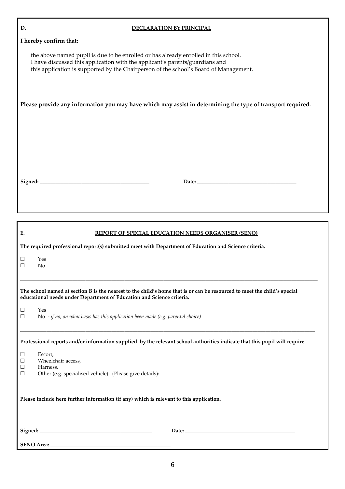| D.<br><b>DECLARATION BY PRINCIPAL</b>                                                                                                                                                                                                                        |
|--------------------------------------------------------------------------------------------------------------------------------------------------------------------------------------------------------------------------------------------------------------|
| I hereby confirm that:                                                                                                                                                                                                                                       |
| the above named pupil is due to be enrolled or has already enrolled in this school.<br>I have discussed this application with the applicant's parents/guardians and<br>this application is supported by the Chairperson of the school's Board of Management. |
| Please provide any information you may have which may assist in determining the type of transport required.                                                                                                                                                  |
|                                                                                                                                                                                                                                                              |
|                                                                                                                                                                                                                                                              |
| E.<br><b>REPORT OF SPECIAL EDUCATION NEEDS ORGANISER (SENO)</b>                                                                                                                                                                                              |
| The required professional report(s) submitted meet with Department of Education and Science criteria.                                                                                                                                                        |
| Yes<br>$\Box$<br>N <sub>o</sub><br>□                                                                                                                                                                                                                         |
| The school named at section B is the nearest to the child's home that is or can be resourced to meet the child's special<br>educational needs under Department of Education and Science criteria.                                                            |
| Yes<br>⊔<br>No - if no, on what basis has this application been made (e.g. parental choice)<br>$\Box$                                                                                                                                                        |
| Professional reports and/or information supplied by the relevant school authorities indicate that this pupil will require                                                                                                                                    |
| Escort,<br>$\Box$<br>Wheelchair access,<br>Ц<br>Harness,<br>$\Box$<br>Other (e.g. specialised vehicle). (Please give details):<br>⊔                                                                                                                          |
| Please include here further information (if any) which is relevant to this application.                                                                                                                                                                      |
|                                                                                                                                                                                                                                                              |
|                                                                                                                                                                                                                                                              |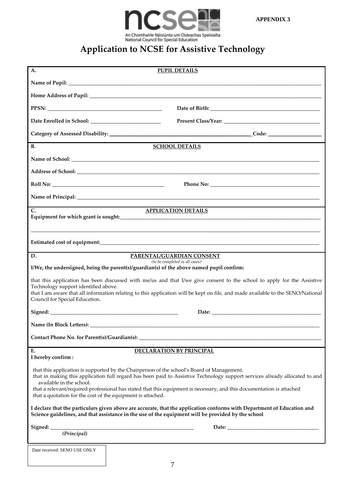

## **Application to NCSE for Assistive Technology**

| A.                                                          | <b>PUPIL DETAILS</b>                                                                                                                                                                                                          |
|-------------------------------------------------------------|-------------------------------------------------------------------------------------------------------------------------------------------------------------------------------------------------------------------------------|
|                                                             |                                                                                                                                                                                                                               |
|                                                             |                                                                                                                                                                                                                               |
|                                                             |                                                                                                                                                                                                                               |
|                                                             |                                                                                                                                                                                                                               |
|                                                             |                                                                                                                                                                                                                               |
|                                                             |                                                                                                                                                                                                                               |
| <b>B.</b>                                                   | <b>SCHOOL DETAILS</b>                                                                                                                                                                                                         |
|                                                             |                                                                                                                                                                                                                               |
|                                                             |                                                                                                                                                                                                                               |
|                                                             |                                                                                                                                                                                                                               |
|                                                             |                                                                                                                                                                                                                               |
| C.                                                          | <b>APPLICATION DETAILS</b>                                                                                                                                                                                                    |
|                                                             |                                                                                                                                                                                                                               |
|                                                             | ,我们也不能在这里的人,我们也不能在这里的人,我们也不能在这里的人,我们也不能在这里的人,我们也不能在这里的人,我们也不能在这里的人,我们也不能在这里的人,我们也                                                                                                                                             |
|                                                             |                                                                                                                                                                                                                               |
| D.                                                          | PARENTAL/GUARDIAN CONSENT<br>(to be completed in all cases)                                                                                                                                                                   |
|                                                             | I/We, the undersigned, being the parent(s)/guardian(s) of the above named pupil confirm:                                                                                                                                      |
|                                                             | that this application has been discussed with me/us and that I/we give consent to the school to apply for the Assistive                                                                                                       |
| Technology support identified above.                        | that I am aware that all information relating to this application will be kept on file, and made available to the SENO/National                                                                                               |
| Council for Special Education.                              |                                                                                                                                                                                                                               |
|                                                             | Date:                                                                                                                                                                                                                         |
| Name (In Block Letters):                                    | <u> 2000 - 2000 - 2000 - 2000 - 2000 - 2000 - 2000 - 2000 - 2000 - 2000 - 2000 - 2000 - 2000 - 2000 - 2000 - 200</u>                                                                                                          |
|                                                             |                                                                                                                                                                                                                               |
| Е.                                                          | <b>DECLARATION BY PRINCIPAL</b>                                                                                                                                                                                               |
| I hereby confirm:                                           |                                                                                                                                                                                                                               |
|                                                             | that this application is supported by the Chairperson of the school's Board of Management.<br>that in making this application full regard has been paid to Assistive Technology support services already allocated to and     |
| available in the school.                                    | that a relevant/required professional has stated that this equipment is necessary, and this documentation is attached                                                                                                         |
| that a quotation for the cost of the equipment is attached. |                                                                                                                                                                                                                               |
|                                                             | I declare that the particulars given above are accurate, that the application conforms with Department of Education and<br>Science guidelines, and that assistance in the use of the equipment will be provided by the school |
|                                                             |                                                                                                                                                                                                                               |
|                                                             |                                                                                                                                                                                                                               |
| Date received: SENO USE ONLY                                |                                                                                                                                                                                                                               |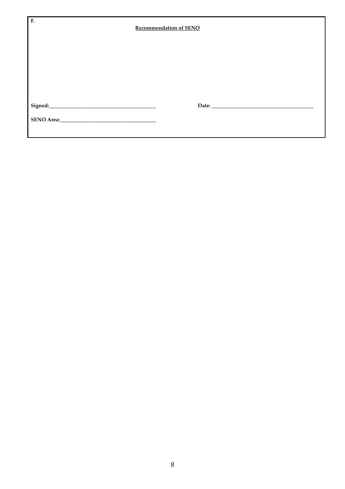| F.                                                                                                                                                                                                                             | <b>Recommendation of SENO</b> |  |  |  |  |  |
|--------------------------------------------------------------------------------------------------------------------------------------------------------------------------------------------------------------------------------|-------------------------------|--|--|--|--|--|
|                                                                                                                                                                                                                                |                               |  |  |  |  |  |
|                                                                                                                                                                                                                                |                               |  |  |  |  |  |
|                                                                                                                                                                                                                                |                               |  |  |  |  |  |
| Signed: National Communication of the Communication of the Communication of the Communication of the Communication of the Communication of the Communication of the Communication of the Communication of the Communication of |                               |  |  |  |  |  |
| SENO Area:<br><u> </u>                                                                                                                                                                                                         |                               |  |  |  |  |  |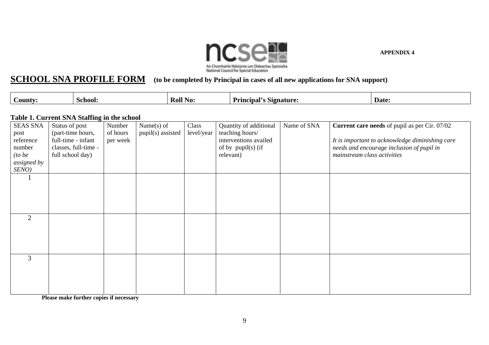

#### **SCHOOL SNA PROFILE FORM(to be completed by Principal in cases of all new applications for SNA support)**

| ∪ountv | school: | Roll<br>NO. | $\sim$<br><b>Principal</b> 's<br>. Signature: | Date: |
|--------|---------|-------------|-----------------------------------------------|-------|

### **Table 1. Current SNA Staffing in the school**

| <b>SEAS SNA</b><br>post<br>reference<br>number<br>(to be<br>assigned by | Status of post<br>(part-time hours,<br>full-time - infant<br>classes, full-time -<br>full school day) | Number<br>of hours<br>per week | Name $(s)$ of<br>pupil(s) assisted | Class<br>level/year | Quantity of additional<br>teaching hours/<br>interventions availed<br>of by pupil(s) (if<br>relevant) | Name of SNA | <b>Current care needs</b> of pupil as per Cir. 07/02<br>It is important to acknowledge diminishing care<br>needs and encourage inclusion of pupil in<br>mainstream class activities |
|-------------------------------------------------------------------------|-------------------------------------------------------------------------------------------------------|--------------------------------|------------------------------------|---------------------|-------------------------------------------------------------------------------------------------------|-------------|-------------------------------------------------------------------------------------------------------------------------------------------------------------------------------------|
| SENO)                                                                   |                                                                                                       |                                |                                    |                     |                                                                                                       |             |                                                                                                                                                                                     |
|                                                                         |                                                                                                       |                                |                                    |                     |                                                                                                       |             |                                                                                                                                                                                     |
| $\overline{2}$                                                          |                                                                                                       |                                |                                    |                     |                                                                                                       |             |                                                                                                                                                                                     |
| 3                                                                       |                                                                                                       |                                |                                    |                     |                                                                                                       |             |                                                                                                                                                                                     |

**Please make further copies if necessary**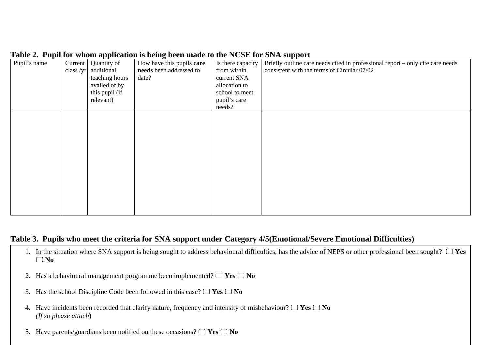## **Table 2. Pupil for whom application is being been made to the NCSE for SNA support**

| Pupil's name | Current<br>class $/yr$ | Quantity of<br>additional<br>teaching hours<br>availed of by<br>this pupil (if<br>relevant) | How have this pupils care<br>needs been addressed to<br>date? | Is there capacity<br>from within<br>current SNA<br>allocation to<br>school to meet<br>pupil's care<br>needs? | Briefly outline care needs cited in professional report - only cite care needs<br>consistent with the terms of Circular 07/02 |
|--------------|------------------------|---------------------------------------------------------------------------------------------|---------------------------------------------------------------|--------------------------------------------------------------------------------------------------------------|-------------------------------------------------------------------------------------------------------------------------------|
|              |                        |                                                                                             |                                                               |                                                                                                              |                                                                                                                               |
|              |                        |                                                                                             |                                                               |                                                                                                              |                                                                                                                               |

## **Table 3. Pupils who meet the criteria for SNA support under Category 4/5(Emotional/Severe Emotional Difficulties)**

- 1. In the situation where SNA support is being sought to address behavioural difficulties, has the advice of NEPS or other professional been sought?  $\Box$  Yes  $\Box$  No
- 2. Has a behavioural management programme been implemented?  $\Box$  Yes  $\Box$  No
- 3. Has the school Discipline Code been followed in this case?  $\Box$  Yes  $\Box$  No
- 4. Have incidents been recorded that clarify nature, frequency and intensity of misbehaviour?  $\Box$  Yes  $\Box$  No *(If so please attach*)
- 5. Have parents/guardians been notified on these occasions?  $\Box$  Yes  $\Box$  No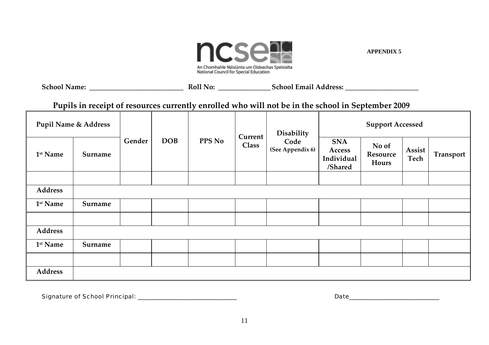

**School Name: \_\_\_\_\_\_\_\_\_\_\_\_\_\_\_\_\_\_\_\_\_\_\_\_\_\_\_ Roll No: \_\_\_\_\_\_\_\_\_\_\_\_\_\_\_ School Email Address: \_\_\_\_\_\_\_\_\_\_\_\_\_\_\_\_\_\_\_\_\_**

**Pupils in receipt of resources currently enrolled who will not be in the school in September <sup>2009</sup>**

| <b>Pupil Name &amp; Address</b> |         |        |            |               | Current      | Disability               | <b>Support Accessed</b>                       |                            |                |                  |
|---------------------------------|---------|--------|------------|---------------|--------------|--------------------------|-----------------------------------------------|----------------------------|----------------|------------------|
| 1 <sup>st</sup> Name            | Surname | Gender | <b>DOB</b> | <b>PPS No</b> | <b>Class</b> | Code<br>(See Appendix 6) | <b>SNA</b><br>Access<br>Individual<br>/Shared | No of<br>Resource<br>Hours | Assist<br>Tech | <b>Transport</b> |
|                                 |         |        |            |               |              |                          |                                               |                            |                |                  |
| <b>Address</b>                  |         |        |            |               |              |                          |                                               |                            |                |                  |
| 1 <sup>st</sup> Name            | Surname |        |            |               |              |                          |                                               |                            |                |                  |
|                                 |         |        |            |               |              |                          |                                               |                            |                |                  |
| <b>Address</b>                  |         |        |            |               |              |                          |                                               |                            |                |                  |
| 1 <sup>st</sup> Name            | Surname |        |            |               |              |                          |                                               |                            |                |                  |
|                                 |         |        |            |               |              |                          |                                               |                            |                |                  |
| <b>Address</b>                  |         |        |            |               |              |                          |                                               |                            |                |                  |

Signature of School Principal: \_\_\_\_\_\_\_\_\_\_\_\_\_\_\_\_\_\_\_\_\_\_\_\_\_\_\_\_\_\_\_\_\_\_ Date\_\_\_\_\_\_\_\_\_\_\_\_\_\_\_\_\_\_\_\_\_\_\_\_\_\_\_\_\_\_\_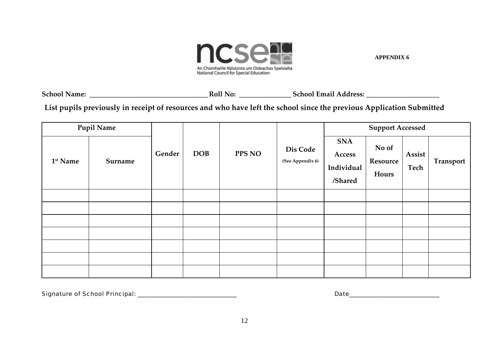

**School Name: \_\_\_\_\_\_\_\_\_\_\_\_\_\_\_\_\_\_\_\_\_\_\_\_\_\_\_\_\_\_\_\_\_\_ Roll No: \_\_\_\_\_\_\_\_\_\_\_\_\_\_\_ School Email Address: \_\_\_\_\_\_\_\_\_\_\_\_\_\_\_\_\_\_\_\_\_**

List pupils previously in receipt of resources and who have left the school since the previous Application Submitted

| <b>Pupil Name</b>    |         |        |  |            |        | <b>Support Accessed</b>      |                                               |                            |                |                  |
|----------------------|---------|--------|--|------------|--------|------------------------------|-----------------------------------------------|----------------------------|----------------|------------------|
| 1 <sup>st</sup> Name | Surname | Gender |  | <b>DOB</b> | PPS NO | Dis Code<br>(See Appendix 6) | <b>SNA</b><br>Access<br>Individual<br>/Shared | No of<br>Resource<br>Hours | Assist<br>Tech | <b>Transport</b> |
|                      |         |        |  |            |        |                              |                                               |                            |                |                  |
|                      |         |        |  |            |        |                              |                                               |                            |                |                  |
|                      |         |        |  |            |        |                              |                                               |                            |                |                  |
|                      |         |        |  |            |        |                              |                                               |                            |                |                  |
|                      |         |        |  |            |        |                              |                                               |                            |                |                  |
|                      |         |        |  |            |        |                              |                                               |                            |                |                  |
|                      |         |        |  |            |        |                              |                                               |                            |                |                  |

Signature of School Principal: \_\_\_\_\_\_\_\_\_\_\_\_\_\_\_\_\_\_\_\_\_\_\_\_\_\_\_\_\_\_\_\_\_\_ Date\_\_\_\_\_\_\_\_\_\_\_\_\_\_\_\_\_\_\_\_\_\_\_\_\_\_\_\_\_\_\_